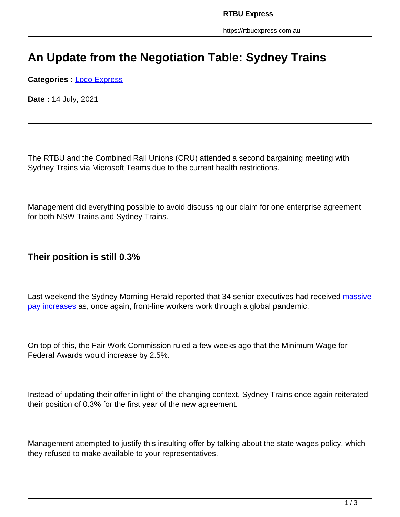# **An Update from the Negotiation Table: Sydney Trains**

**Categories :** [Loco Express](https://rtbuexpress.com.au/category/news/loco-express/)

**Date :** 14 July, 2021

The RTBU and the Combined Rail Unions (CRU) attended a second bargaining meeting with Sydney Trains via Microsoft Teams due to the current health restrictions.

Management did everything possible to avoid discussing our claim for one enterprise agreement for both NSW Trains and Sydney Trains.

#### **Their position is still 0.3%**

Last weekend the Sydney Morning Herald reported that 34 senior executives had received massive pay increases as, once again, front-line workers work through a global pandemic.

On top of this, the Fair Work Commission ruled a few weeks ago that the Minimum Wage for Federal Awards would increase by 2.5%.

Instead of updating their offer in light of the changing context, Sydney Trains once again reiterated their position of 0.3% for the first year of the new agreement.

Management attempted to justify this insulting offer by talking about the state wages policy, which they refused to make available to your representatives.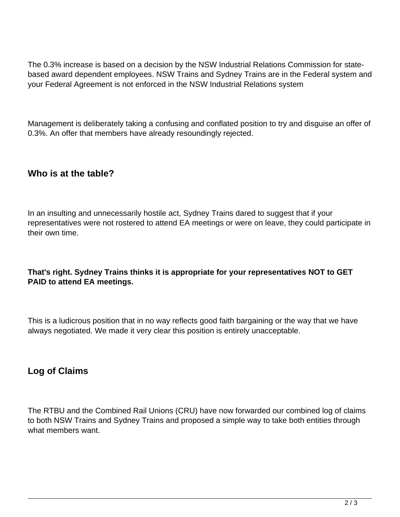The 0.3% increase is based on a decision by the NSW Industrial Relations Commission for statebased award dependent employees. NSW Trains and Sydney Trains are in the Federal system and your Federal Agreement is not enforced in the NSW Industrial Relations system

Management is deliberately taking a confusing and conflated position to try and disguise an offer of 0.3%. An offer that members have already resoundingly rejected.

### **Who is at the table?**

In an insulting and unnecessarily hostile act, Sydney Trains dared to suggest that if your representatives were not rostered to attend EA meetings or were on leave, they could participate in their own time.

#### **That's right. Sydney Trains thinks it is appropriate for your representatives NOT to GET PAID to attend EA meetings.**

This is a ludicrous position that in no way reflects good faith bargaining or the way that we have always negotiated. We made it very clear this position is entirely unacceptable.

## **Log of Claims**

The RTBU and the Combined Rail Unions (CRU) have now forwarded our combined log of claims to both NSW Trains and Sydney Trains and proposed a simple way to take both entities through what members want.